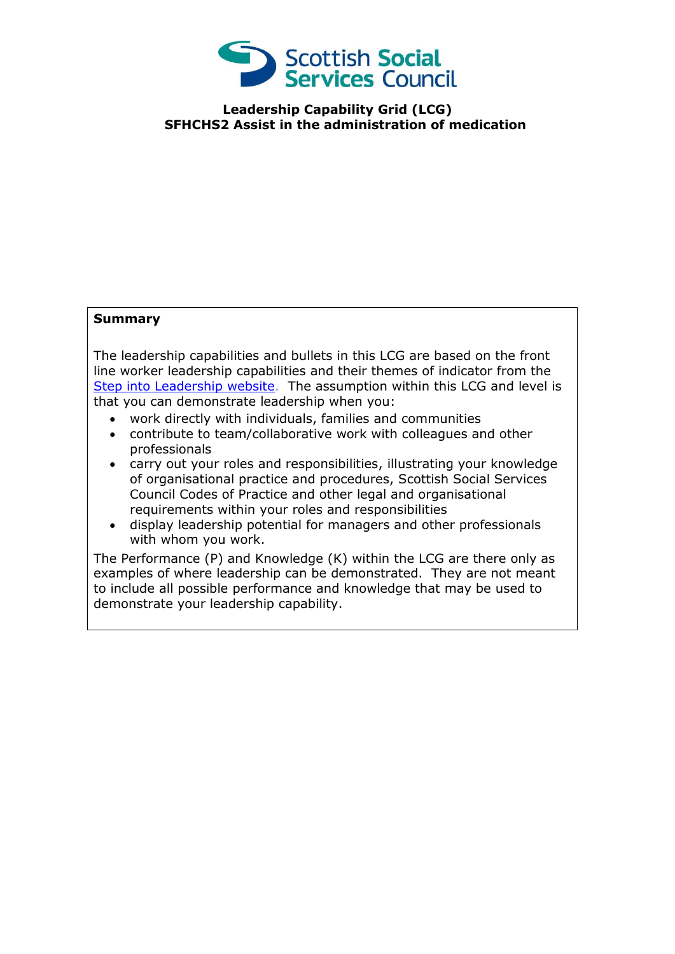

**Leadership Capability Grid (LCG) SFHCHS2 Assist in the administration of medication**

## **Summary**

The leadership capabilities and bullets in this LCG are based on the front line worker leadership capabilities and their themes of indicator from the [Step into Leadership website.](http://www.stepintoleadership.info/) The assumption within this LCG and level is that you can demonstrate leadership when you:

- work directly with individuals, families and communities
- contribute to team/collaborative work with colleagues and other professionals
- carry out your roles and responsibilities, illustrating your knowledge of organisational practice and procedures, Scottish Social Services Council Codes of Practice and other legal and organisational requirements within your roles and responsibilities
- display leadership potential for managers and other professionals with whom you work.

The Performance (P) and Knowledge (K) within the LCG are there only as examples of where leadership can be demonstrated. They are not meant to include all possible performance and knowledge that may be used to demonstrate your leadership capability.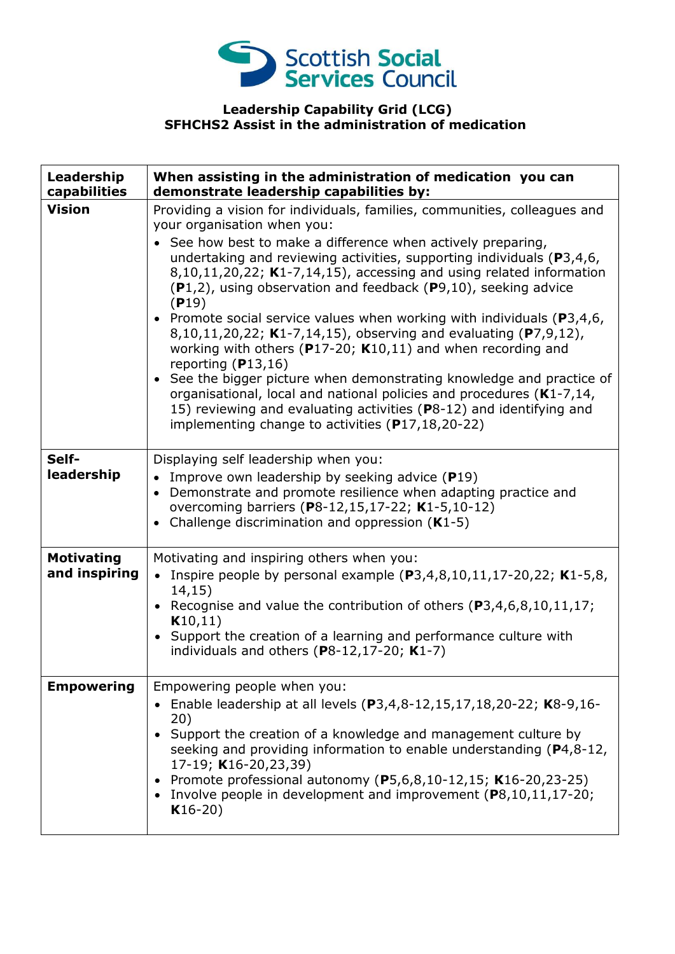

## **Leadership Capability Grid (LCG) SFHCHS2 Assist in the administration of medication**

| Leadership<br>capabilities         | When assisting in the administration of medication you can<br>demonstrate leadership capabilities by:                                                                                                                                                                                                                                                                                                                                                                                                                                                                                                                                                                                                                                                                                                                                                                                                                                    |
|------------------------------------|------------------------------------------------------------------------------------------------------------------------------------------------------------------------------------------------------------------------------------------------------------------------------------------------------------------------------------------------------------------------------------------------------------------------------------------------------------------------------------------------------------------------------------------------------------------------------------------------------------------------------------------------------------------------------------------------------------------------------------------------------------------------------------------------------------------------------------------------------------------------------------------------------------------------------------------|
| <b>Vision</b>                      | Providing a vision for individuals, families, communities, colleagues and<br>your organisation when you:<br>• See how best to make a difference when actively preparing,<br>undertaking and reviewing activities, supporting individuals ( $P3,4,6$ ,<br>$8,10,11,20,22$ ; K1-7,14,15), accessing and using related information<br>$(P1,2)$ , using observation and feedback $(P9,10)$ , seeking advice<br>(P19)<br>• Promote social service values when working with individuals ( $P3,4,6$ ,<br>8,10,11,20,22; K1-7,14,15), observing and evaluating (P7,9,12),<br>working with others ( $P17-20$ ; K10,11) and when recording and<br>reporting $(P13,16)$<br>• See the bigger picture when demonstrating knowledge and practice of<br>organisational, local and national policies and procedures (K1-7,14,<br>15) reviewing and evaluating activities (P8-12) and identifying and<br>implementing change to activities (P17,18,20-22) |
| Self-<br>leadership                | Displaying self leadership when you:<br>• Improve own leadership by seeking advice $(P19)$<br>• Demonstrate and promote resilience when adapting practice and<br>overcoming barriers (P8-12,15,17-22; K1-5,10-12)<br>• Challenge discrimination and oppression $(K1-5)$                                                                                                                                                                                                                                                                                                                                                                                                                                                                                                                                                                                                                                                                  |
| <b>Motivating</b><br>and inspiring | Motivating and inspiring others when you:<br>• Inspire people by personal example $(P3,4,8,10,11,17-20,22; K1-5,8,$<br>14,15)<br>• Recognise and value the contribution of others $(P3, 4, 6, 8, 10, 11, 17)$ ;<br>K10, 11)<br>• Support the creation of a learning and performance culture with<br>individuals and others $(P8-12, 17-20; K1-7)$                                                                                                                                                                                                                                                                                                                                                                                                                                                                                                                                                                                        |
| <b>Empowering</b>                  | Empowering people when you:<br>• Enable leadership at all levels $(P3, 4, 8-12, 15, 17, 18, 20-22; K8-9, 16-$<br>20)<br>• Support the creation of a knowledge and management culture by<br>seeking and providing information to enable understanding (P4,8-12,<br>17-19; K16-20,23,39)<br>Promote professional autonomy (P5,6,8,10-12,15; K16-20,23-25)<br>Involve people in development and improvement $(P8, 10, 11, 17-20)$ ;<br>$K16-20)$                                                                                                                                                                                                                                                                                                                                                                                                                                                                                            |